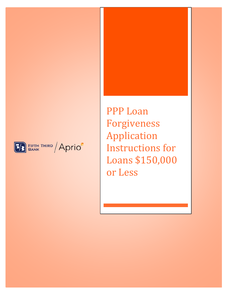



PPP Loan Forgiveness Application Instructions for Loans \$150,000 or Less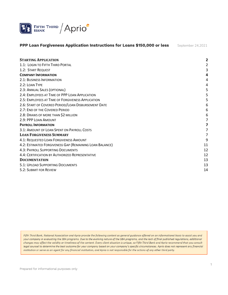

| <b>STARTING APPLICATION</b>                             |    |
|---------------------------------------------------------|----|
| 1.1: LOGIN TO FIFTH THIRD PORTAL                        |    |
| 1.2: START REQUEST                                      | 3  |
| <b>COMPANY INFORMATION</b>                              | 4  |
| 2.1: BUSINESS INFORMATION                               | 4  |
| 2.2: LOAN TYPE                                          | 4  |
| 2.3: ANNUAL SALES (OPTIONAL)                            | 5  |
| 2.4: EMPLOYEES AT TIME OF PPP LOAN APPLICATION          |    |
| 2.5: EMPLOYEES AT TIME OF FORGIVENESS APPLICATION       |    |
| 2.6: START OF COVERED PERIOD/LOAN DISBURSEMENT DATE     | 6  |
| 2.7: END OF THE COVERED PERIOD                          | 6  |
| 2.8: DRAWS OF MORE THAN \$2 MILLION                     | 6  |
| 2.9: PPP LOAN AMOUNT                                    | 7  |
| <b>PAYROLL INFORMATION</b>                              | 7  |
| 3.1: AMOUNT OF LOAN SPENT ON PAYROLL COSTS              | 7  |
| <b>LOAN FORGIVENESS SUMMARY</b>                         | 7  |
| 4.1: REQUESTED LOAN FORGIVENESS AMOUNT                  | 9  |
| 4.2: ESTIMATED FORGIVENESS GAP (REMAINING LOAN BALANCE) | 11 |
| 4.3: PAYROLL SUPPORTING DOCUMENTS                       | 12 |
| 4.4: CERTIFICATION BY AUTHORIZED REPRESENTATIVE         | 12 |
| <b>DOCUMENTATION</b>                                    | 13 |
| 5.1: UPLOAD SUPPORTING DOCUMENTS                        | 13 |
| 5.2: SUBMIT FOR REVIEW                                  | 14 |
|                                                         |    |

Fifth Third Bank, National Association and Aprio provide the following content as general guidance offered on an informational basis to assist you and your company in evaluating the SBA programs. Due to the evolving nature of the SBA programs, and the lack of final published regulations, additional changes may affect the validity or timeliness of the content. Every client situation is unique, so Fifth Third Bank and Aprio recommend that you consult legal counsel to determine the best outcome for your company based on your company's specific circumstances. Aprio does not represent any financial institution or serve as an agent for any financial institution, and Aprio is not responsible for the actions of any other third party.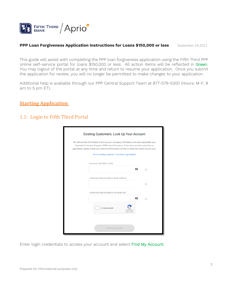

This guide will assist with completing the PPP loan forgiveness application using the Fifth Third PPP online self-service portal for loans \$150,000 or less. All action items will be reflected in Green. You may logout of the portal at any time and return to resume your application. Once you submit the application for review, you will no longer be permitted to make changes to your application.

Additional help is available through our PPP Central Support Team at 877-579-5300 (Hours: M-F, 8 am to 5 pm ET).

## <span id="page-2-0"></span>**Starting Application**

# <span id="page-2-1"></span>1.1: Login to Fifth Third Portal

| Existing Customers: Look Up Your Account                                                                                                                                                                                                                                            |                            |
|-------------------------------------------------------------------------------------------------------------------------------------------------------------------------------------------------------------------------------------------------------------------------------------|----------------------------|
| We will use this information to look up your company information and when applicable your<br>Paycheck Protection Program (PPP) loan information. If you have recently submitted an<br>application, please check your email for information on how to check the status of your loan. |                            |
| Not an existing customer? Click here to get started.                                                                                                                                                                                                                                |                            |
| Business TIN (EIN or SSN)<br>Ø                                                                                                                                                                                                                                                      | Ŧ                          |
| Authorized Representative Email Address                                                                                                                                                                                                                                             |                            |
|                                                                                                                                                                                                                                                                                     | $\left( \mathrm{I}\right)$ |
| Authorized Representative Personal SSN<br>Ø                                                                                                                                                                                                                                         | Œ                          |
| I'm not a robot<br>Privacy - Terms                                                                                                                                                                                                                                                  |                            |
| Find My Account                                                                                                                                                                                                                                                                     |                            |

Enter login credentials to access your account and select Find My Account.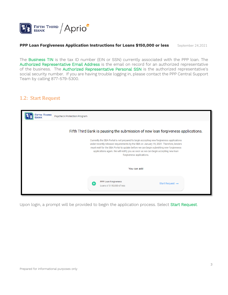

The Business TIN is the tax ID number (EIN or SSN) currently associated with the PPP loan. The Authorized Representative Email Address is the email on record for an authorized representative of the business. The Authorized Representative Personal SSN is the authorized representative's social security number. If you are having trouble logging in, please contact the PPP Central Support Team by calling 877-579-5300.

## <span id="page-3-0"></span>1.2: Start Request

| <b>FIFTH THIRD</b><br>Paycheck Protection Program<br><b>BANK</b> |                                                                                                                                                                                                                                                                                                                                                                                                                                                                                    |                             |
|------------------------------------------------------------------|------------------------------------------------------------------------------------------------------------------------------------------------------------------------------------------------------------------------------------------------------------------------------------------------------------------------------------------------------------------------------------------------------------------------------------------------------------------------------------|-----------------------------|
|                                                                  | Fifth Third Bank is pausing the submission of new loan forgiveness applications.<br>Currently the SBA Portal is not prepared to begin accepting new forgiveness applications<br>under recently released requirements by the SBA on January 19, 2021. Therefore, lenders<br>must wait for the SBA Portal to update before we can begin submitting new forgiveness<br>applications again. We will notify you as soon as we can begin accepting new loan<br>forgiveness applications. |                             |
|                                                                  | You can add                                                                                                                                                                                                                                                                                                                                                                                                                                                                        |                             |
|                                                                  | PPP Loan Forgiveness<br>$\ddot{}$<br>Loans of \$150,000 of less                                                                                                                                                                                                                                                                                                                                                                                                                    | Start Request $\rightarrow$ |

Upon login, a prompt will be provided to begin the application process. Select Start Request.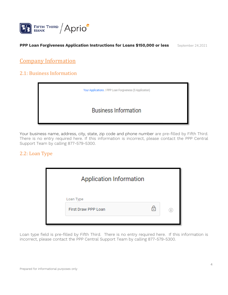

# <span id="page-4-0"></span>Company Information

## <span id="page-4-1"></span>2.1: Business Information



Your business name, address, city, state, zip code and phone number are pre-filled by Fifth Third. There is no entry required here. If this information is incorrect, please contact the PPP Central Support Team by calling 877-579-5300.

## <span id="page-4-2"></span>2.2: Loan Type

| <b>Application Information</b> |   |                              |
|--------------------------------|---|------------------------------|
| Loan Type                      |   |                              |
| <b>First Draw PPP Loan</b>     | ᢛ | $\left( \frac{1}{2} \right)$ |
|                                |   |                              |

Loan type field is pre-filled by Fifth Third. There is no entry required here. If this information is incorrect, please contact the PPP Central Support Team by calling 877-579-5300.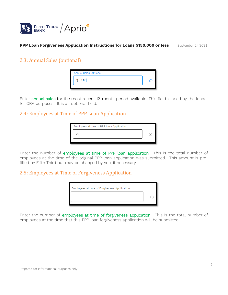

## <span id="page-5-0"></span>2.3: Annual Sales (optional)

| <b>Annual Sales (optional)</b> |  |
|--------------------------------|--|
| \$ 0.00                        |  |
|                                |  |

Enter annual sales for the most recent 12-month period available. This field is used by the lender for CRA purposes. It is an optional field.

## <span id="page-5-1"></span>2.4: Employees at Time of PPP Loan Application

| Employees at time of PPP Loan Application |  |
|-------------------------------------------|--|
|                                           |  |
|                                           |  |

Enter the number of employees at time of PPP loan application. This is the total number of employees at the time of the original PPP loan application was submitted. This amount is prefilled by Fifth Third but may be changed by you, if necessary.

### <span id="page-5-2"></span>2.5: Employees at Time of Forgiveness Application

| Employees at time of Forgiveness Application |  |
|----------------------------------------------|--|
|                                              |  |
|                                              |  |

Enter the number of employees at time of forgiveness application. This is the total number of employees at the time that this PPP loan forgiveness application will be submitted.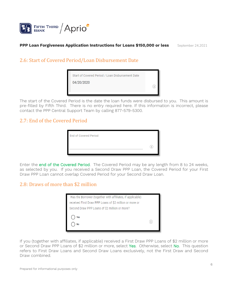

## <span id="page-6-0"></span>2.6: Start of Covered Period/Loan Disbursement Date

| 04/20/2020 |  |
|------------|--|
|            |  |

The start of the Covered Period is the date the loan funds were disbursed to you. This amount is pre-filled by Fifth Third. There is no entry required here. If this information is incorrect, please contact the PPP Central Support Team by calling 877-579-5300.

## <span id="page-6-1"></span>2.7: End of the Covered Period

| <b>End of Covered Period</b> |  |
|------------------------------|--|
|                              |  |
|                              |  |

Enter the end of the Covered Period. The Covered Period may be any length from 8 to 24 weeks, as selected by you. If you received a Second Draw PPP Loan, the Covered Period for your First Draw PPP Loan cannot overlap Covered Period for your Second Draw Loan.

## <span id="page-6-2"></span>2.8: Draws of more than \$2 million

| Has the Borrower (together with affiliates, if applicable) |  |
|------------------------------------------------------------|--|
| received First Draw PPP Loans of \$2 million or more or    |  |
| Second Draw PPP Loans of \$2 million or more?              |  |
| Yes<br>No                                                  |  |

If you (together with affiliates, if applicable) received a First Draw PPP Loans of \$2 million or more or Second Draw PPP Loans of \$2 million or more, select Yes. Otherwise, select No. This question refers to First Draw Loans and Second Draw Loans exclusively, not the First Draw and Second Draw combined.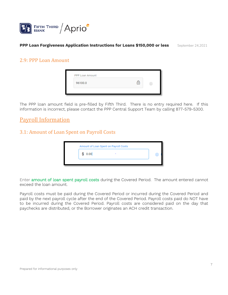

### <span id="page-7-0"></span>2.9: PPP Loan Amount

| PPP Loan Amount |  |
|-----------------|--|
| 96100.0         |  |

The PPP loan amount field is pre-filled by Fifth Third. There is no entry required here. If this information is incorrect, please contact the PPP Central Support Team by calling 877-579-5300.

# <span id="page-7-1"></span>Payroll Information

## <span id="page-7-2"></span>3.1: Amount of Loan Spent on Payroll Costs

<span id="page-7-3"></span>

|         | Amount of Loan Spent on Payroll Costs |  |
|---------|---------------------------------------|--|
| \$ 0.00 |                                       |  |

Enter amount of loan spent payroll costs during the Covered Period. The amount entered cannot exceed the loan amount.

Payroll costs must be paid during the Covered Period or incurred during the Covered Period and paid by the next payroll cycle after the end of the Covered Period. Payroll costs paid do NOT have to be incurred during the Covered Period. Payroll costs are considered paid on the day that paychecks are distributed, or the Borrower originates an ACH credit transaction.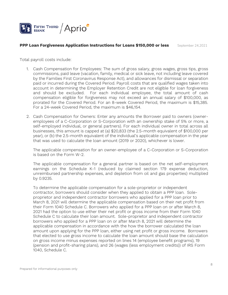

Total payroll costs include:

- 1. Cash Compensation for Employees: The sum of gross salary, gross wages, gross tips, gross commissions, paid leave (vacation, family, medical or sick leave, not including leave covered by the Families First Coronavirus Response Act), and allowances for dismissal or separation paid or incurred during the Covered Period. Payroll costs that are qualified wages taken into account in determining the Employer Retention Credit are not eligible for loan forgiveness and should be excluded. For each individual employee, the total amount of cash compensation eligible for forgiveness may not exceed an annual salary of \$100,000, as prorated for the Covered Period. For an 8-week Covered Period, the maximum is \$15,385. For a 24-week Covered Period, the maximum is \$46,154.
- 2. Cash Compensation for Owners: Enter any amounts the Borrower paid to owners (owneremployees of a C-Corporation or S-Corporation with an ownership stake of 5% or more, a self-employed individual, or general partners). For each individual owner in total across all businesses, this amount is capped at (a) \$20,833 (the 2.5-month equivalent of \$100,000 per year), or (b) the 2.5-month equivalent of the individual's applicable compensation in the year that was used to calculate the loan amount (2019 or 2020), whichever is lower.

The applicable compensation for an owner-employee of a C-Corporation or S-Corporation is based on the Form W-2.

The applicable compensation for a general partner is based on the net self-employment earnings on the Schedule K-1 (reduced by claimed section 179 expense deduction, unreimbursed partnership expenses, and depletion from oil and gas properties) multiplied by 0.9235.

To determine the applicable compensation for a sole-proprietor or independent contractor, borrowers should consider when they applied to obtain a PPP loan. Soleproprietor and independent contractor borrowers who applied for a PPP loan prior to March 8, 2021 will determine the applicable compensation based on their net profit from their Form 1040 Schedule C. Borrowers who applied for a PPP loan on or after March 8, 2021 had the option to use either their net profit or gross income from their Form 1040 Schedule C to calculate their loan amount. Sole-proprietor and independent contractor borrowers who applied for a PPP loan on or after March 8, 2021 will determine the applicable compensation in accordance with the how the borrower calculated the loan amount upon applying for the PPP loan, either using net profit or gross income. Borrowers that elected to use gross income to calculate the loan amount should base the calculation on gross income minus expenses reported on lines 14 (employee benefit programs), 19 (pension and profit-sharing plans), and 26 (wages (less employment credits)) of IRS Form 1040, Schedule C.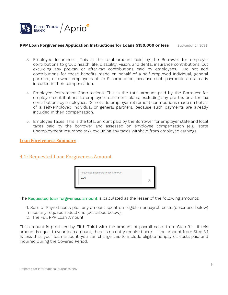

- 3. Employee Insurance: This is the total amount paid by the Borrower for employer contributions to group health, life, disability, vision, and dental insurance contributions, but excluding any pre-tax or after-tax contributions paid by employees. Do not add contributions for these benefits made on behalf of a self-employed individual, general partners, or owner-employees of an S-corporation, because such payments are already included in their compensation.
- 4. Employee Retirement Contributions: This is the total amount paid by the Borrower for employer contributions to employee retirement plans, excluding any pre-tax or after-tax contributions by employees. Do not add employer retirement contributions made on behalf of a self-employed individual or general partners, because such payments are already included in their compensation.
- 5. Employee Taxes: This is the total amount paid by the Borrower for employer state and local taxes paid by the borrower and assessed on employee compensation (e.g., state unemployment insurance tax), excluding any taxes withheld from employee earnings.

### **Loan Forgiveness Summary**

## <span id="page-9-0"></span>4.1: Requested Loan Forgiveness Amount

| Requested Loan Forgiveness Amount |  |
|-----------------------------------|--|
| 0.00                              |  |
|                                   |  |

The Requested loan forgiveness amount is calculated as the lesser of the following amounts:

1. Sum of Payroll costs plus any amount spent on eligible nonpayroll costs (described below) minus any required reductions (described below),

2. The Full PPP Loan Amount

This amount is pre-filled by Fifth Third with the amount of payroll costs from Step 3.1. If this amount is equal to your loan amount, there is no entry required here. If the amount from Step 3.1 Is less than your loan amount, you can change this to include eligible nonpayroll costs paid and incurred during the Covered Period.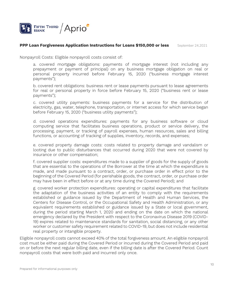

Nonpayroll Costs: Eligible nonpayroll costs consist of:

a. covered mortgage obligations: payments of mortgage interest (not including any prepayment or payment of principal) on any business mortgage obligation on real or personal property incurred before February 15, 2020 ("business mortgage interest payments");

b. covered rent obligations: business rent or lease payments pursuant to lease agreements for real or personal property in force before February 15, 2020 ("business rent or lease payments");

c. covered utility payments: business payments for a service for the distribution of electricity, gas, water, telephone, transportation, or internet access for which service began before February 15, 2020 ("business utility payments");

d. covered operations expenditures: payments for any business software or cloud computing service that facilitates business operations, product or service delivery, the processing, payment, or tracking of payroll expenses, human resources, sales and billing functions, or accounting of tracking of supplies, inventory, records, and expenses;

e. covered property damage costs: costs related to property damage and vandalism or looting due to public disturbances that occurred during 2020 that were not covered by insurance or other compensation;

f. covered supplier costs: expenditures made to a supplier of goods for the supply of goods that are essential to the operations of the Borrower at the time at which the expenditure is made, and made pursuant to a contract, order, or purchase order in effect prior to the beginning of the Covered Period (for perishable goods, the contract, order, or purchase order may have been in effect before or at any time during the Covered Period); and

g. covered worker protection expenditures: operating or capital expenditures that facilitate the adaptation of the business activities of an entity to comply with the requirements established or guidance issued by the Department of Health and Human Services, the Centers for Disease Control, or the Occupational Safety and Health Administration, or any equivalent requirements established or guidance issued by a State or local government, during the period starting March 1, 2020 and ending on the date on which the national emergency declared by the President with respect to the Coronavirus Disease 2019 (COVID-19) expires related to maintenance standards for sanitation, social distancing, or any other worker or customer safety requirement related to COVID-19, but does not include residential real property or intangible property.

Eligible nonpayroll costs cannot exceed 40% of the total forgiveness amount. An eligible nonpayroll cost must be either paid during the Covered Period or incurred during the Covered Period and paid on or before the next regular billing date, even if the billing date is after the Covered Period. Count nonpayroll costs that were both paid and incurred only once.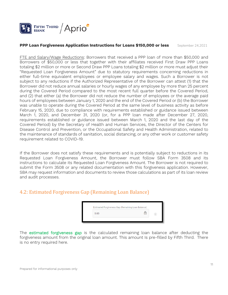

FTE and Salary/Wage Reductions: Borrowers that received a PPP loan of more than \$50,000 and Borrowers of \$50,000 or less that together with their affiliates received First Draw PPP Loans totaling \$2 million or more or Second Draw PPP Loans totaling \$2 million or more must adjust their "Requested Loan Forgiveness Amount" due to statutory requirements concerning reductions in either full-time equivalent employees or employee salary and wages. Such a Borrower is not subject to any reductions if the Authorized Representative of the Borrower can attest (1) that the Borrower did not reduce annual salaries or hourly wages of any employee by more than 25 percent during the Covered Period compared to the most recent full quarter before the Covered Period, and (2) that either (a) the Borrower did not reduce the number of employees or the average paid hours of employees between January 1, 2020 and the end of the Covered Period or (b) the Borrower was unable to operate during the Covered Period at the same level of business activity as before February 15, 2020, due to compliance with requirements established or guidance issued between March 1, 2020, and December 31, 2020 (or, for a PPP loan made after December 27, 2020, requirements established or guidance issued between March 1, 2020 and the last day of the Covered Period) by the Secretary of Health and Human Services, the Director of the Centers for Disease Control and Prevention, or the Occupational Safety and Health Administration, related to the maintenance of standards of sanitation, social distancing, or any other work or customer safety requirement related to COVID-19.

If the Borrower does not satisfy these requirements and is potentially subject to reductions in its Requested Loan Forgiveness Amount, the Borrower must follow SBA Form 3508 and its instructions to calculate its Requested Loan Forgiveness Amount. The Borrower is not required to submit the Form 3508 or any related documentation with this forgiveness application. However, SBA may request information and documents to review those calculations as part of its loan review and audit processes.

# <span id="page-11-0"></span>4.2: Estimated Forgiveness Gap (Remaining Loan Balance)

| 0.00 |  |
|------|--|

The estimated forgiveness gap is the calculated remaining loan balance after deducting the forgiveness amount from the original loan amount. This amount Is pre-filled by Fifth Third. There is no entry required here.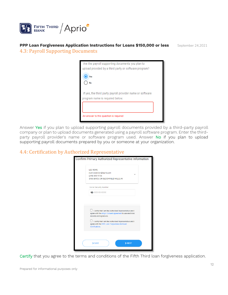

### <span id="page-12-0"></span>**PPP Loan Forgiveness Application Instructions for Loans \$150,000 or less** September 24,2021 4.3: Payroll Supporting Documents

| Are the payroll supporting documents you plan to          |
|-----------------------------------------------------------|
| upload provided by a third party or software program?     |
|                                                           |
|                                                           |
|                                                           |
| If yes, the third party payroll provider name or software |
| program name is required below.                           |
|                                                           |
|                                                           |
| An answer to this question is required                    |
|                                                           |

Answer Yes if you plan to upload supporting payroll documents provided by a third-party payroll company or plan to upload documents generated using a payroll software program. Enter the thirdparty payroll provider's name or software program used. Answer No if you plan to upload supporting payroll documents prepared by you or someone at your organization.

## <span id="page-12-1"></span>4.4: Certification by Authorized Representative

| <b>LEE ROWE</b><br>Justin.elanjian@aprio.com                                                                                                   |
|------------------------------------------------------------------------------------------------------------------------------------------------|
| (248) 830-9756<br>1986 BAYOU DR BLOOMFIELD HILLS, MI                                                                                           |
| Social Security Number                                                                                                                         |
| XXX-XX-XXXX                                                                                                                                    |
| I certify that I am the Authorized Representative and I<br>agree with the eSign Consent agreement to use electronic<br>records and signatures. |
| I certify that I am the Authorized Representative and I<br>agree with the PPP Loan Forgiveness Borrower<br>Certifications.                     |
|                                                                                                                                                |

Certify that you agree to the terms and conditions of the Fifth Third loan forgiveness application.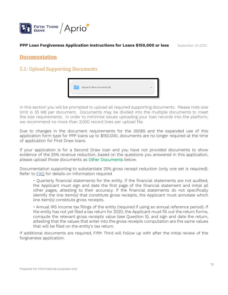

### <span id="page-13-0"></span>**Documentation**

## <span id="page-13-1"></span>5.1: Upload Supporting Documents



In this section you will be prompted to upload all required supporting documents. Please note size limit is 35 MB per document. Documents may be divided into the multiple documents to meet the size requirements. In order to minimize issues uploading your loan records into the platform, we recommend no more than 3,000 record lines per upload file.

Due to changes in the document requirements for the 3508S and the expanded use of this application form type for PPP loans up to \$150,000, documents are no longer required at the time of application for First Draw loans.

If your application is for a Second Draw loan and you have not provided documents to show evidence of the 25% revenue reduction, based on the questions you answered in this application, please upload those documents as Other Documents below.

Documentation supporting to substantiate 25% gross receipt reduction (only one set is required): Refer to [FAQ](https://www.sba.gov/sites/default/files/2021-03/HowtoCalculateSecondDrawFAQs%203.12.21%20FINAL-508.pdf) for details on Information required

• Quarterly financial statements for the entity. If the financial statements are not audited, the Applicant must sign and date the first page of the financial statement and initial all other pages, attesting to their accuracy. If the financial statements do not specifically identify the line item(s) that constitute gross receipts, the Applicant must annotate which line item(s) constitute gross receipts.

• Annual IRS income tax filings of the entity (required if using an annual reference period). If the entity has not yet filed a tax return for 2020, the Applicant must fill out the return forms, compute the relevant gross receipts value (see Question 5), and sign and date the return, attesting that the values that enter into the gross receipts computation are the same values that will be filed on the entity's tax return.

If additional documents are required, Fifth Third will follow up with after the initial review of the forgiveness application.